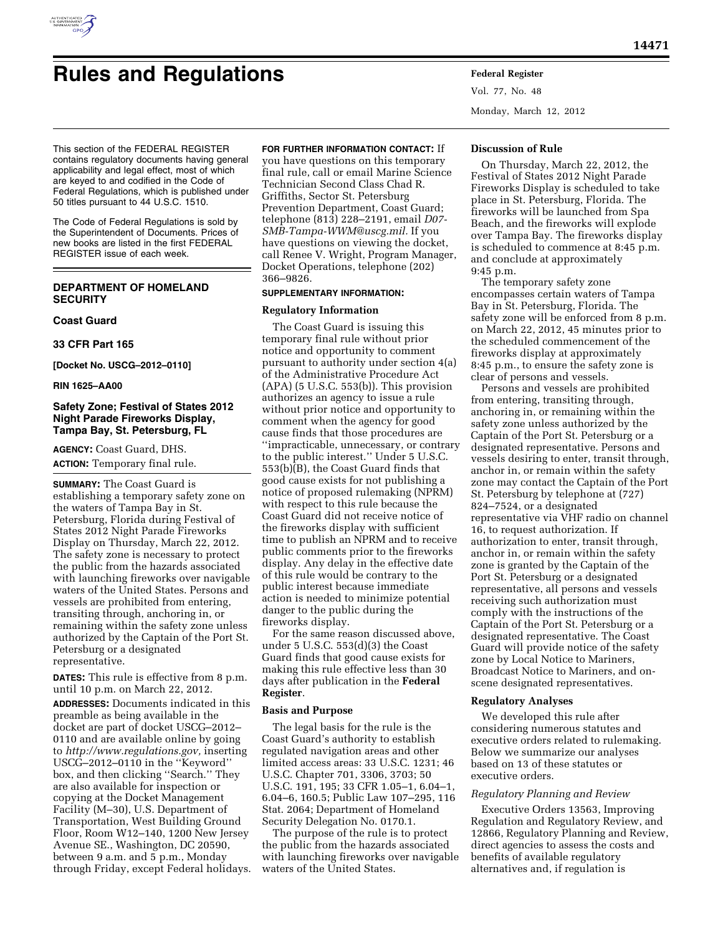

# **Rules and Regulations Federal Register**

This section of the FEDERAL REGISTER contains regulatory documents having general applicability and legal effect, most of which are keyed to and codified in the Code of Federal Regulations, which is published under 50 titles pursuant to 44 U.S.C. 1510.

The Code of Federal Regulations is sold by the Superintendent of Documents. Prices of new books are listed in the first FEDERAL REGISTER issue of each week.

# **DEPARTMENT OF HOMELAND SECURITY**

## **Coast Guard**

**33 CFR Part 165** 

**[Docket No. USCG–2012–0110]** 

#### **RIN 1625–AA00**

## **Safety Zone; Festival of States 2012 Night Parade Fireworks Display, Tampa Bay, St. Petersburg, FL**

**AGENCY:** Coast Guard, DHS.

**ACTION:** Temporary final rule.

**SUMMARY:** The Coast Guard is establishing a temporary safety zone on the waters of Tampa Bay in St. Petersburg, Florida during Festival of States 2012 Night Parade Fireworks Display on Thursday, March 22, 2012. The safety zone is necessary to protect the public from the hazards associated with launching fireworks over navigable waters of the United States. Persons and vessels are prohibited from entering, transiting through, anchoring in, or remaining within the safety zone unless authorized by the Captain of the Port St. Petersburg or a designated representative.

**DATES:** This rule is effective from 8 p.m. until 10 p.m. on March 22, 2012. **ADDRESSES:** Documents indicated in this preamble as being available in the docket are part of docket USCG–2012– 0110 and are available online by going to *[http://www.regulations.gov,](http://www.regulations.gov)* inserting USCG–2012–0110 in the ''Keyword'' box, and then clicking ''Search.'' They are also available for inspection or copying at the Docket Management Facility (M–30), U.S. Department of Transportation, West Building Ground Floor, Room W12–140, 1200 New Jersey Avenue SE., Washington, DC 20590, between 9 a.m. and 5 p.m., Monday through Friday, except Federal holidays.

#### **FOR FURTHER INFORMATION CONTACT:** If

you have questions on this temporary final rule, call or email Marine Science Technician Second Class Chad R. Griffiths, Sector St. Petersburg Prevention Department, Coast Guard; telephone (813) 228–2191, email *[D07-](mailto:D07-SMB-Tampa-WWM@uscg.mil)  [SMB-Tampa-WWM@uscg.mil.](mailto:D07-SMB-Tampa-WWM@uscg.mil)* If you have questions on viewing the docket, call Renee V. Wright, Program Manager, Docket Operations, telephone (202) 366–9826.

#### **SUPPLEMENTARY INFORMATION:**

#### **Regulatory Information**

The Coast Guard is issuing this temporary final rule without prior notice and opportunity to comment pursuant to authority under section 4(a) of the Administrative Procedure Act  $(APA)$  (5 U.S.C. 553(b)). This provision authorizes an agency to issue a rule without prior notice and opportunity to comment when the agency for good cause finds that those procedures are ''impracticable, unnecessary, or contrary to the public interest.'' Under 5 U.S.C. 553(b)(B), the Coast Guard finds that good cause exists for not publishing a notice of proposed rulemaking (NPRM) with respect to this rule because the Coast Guard did not receive notice of the fireworks display with sufficient time to publish an NPRM and to receive public comments prior to the fireworks display. Any delay in the effective date of this rule would be contrary to the public interest because immediate action is needed to minimize potential danger to the public during the fireworks display.

For the same reason discussed above, under 5 U.S.C. 553(d)(3) the Coast Guard finds that good cause exists for making this rule effective less than 30 days after publication in the **Federal Register**.

## **Basis and Purpose**

The legal basis for the rule is the Coast Guard's authority to establish regulated navigation areas and other limited access areas: 33 U.S.C. 1231; 46 U.S.C. Chapter 701, 3306, 3703; 50 U.S.C. 191, 195; 33 CFR 1.05–1, 6.04–1, 6.04–6, 160.5; Public Law 107–295, 116 Stat. 2064; Department of Homeland Security Delegation No. 0170.1.

The purpose of the rule is to protect the public from the hazards associated with launching fireworks over navigable waters of the United States.

Vol. 77, No. 48 Monday, March 12, 2012

#### **Discussion of Rule**

On Thursday, March 22, 2012, the Festival of States 2012 Night Parade Fireworks Display is scheduled to take place in St. Petersburg, Florida. The fireworks will be launched from Spa Beach, and the fireworks will explode over Tampa Bay. The fireworks display is scheduled to commence at 8:45 p.m. and conclude at approximately 9:45 p.m.

The temporary safety zone encompasses certain waters of Tampa Bay in St. Petersburg, Florida. The safety zone will be enforced from 8 p.m. on March 22, 2012, 45 minutes prior to the scheduled commencement of the fireworks display at approximately 8:45 p.m., to ensure the safety zone is clear of persons and vessels.

Persons and vessels are prohibited from entering, transiting through, anchoring in, or remaining within the safety zone unless authorized by the Captain of the Port St. Petersburg or a designated representative. Persons and vessels desiring to enter, transit through, anchor in, or remain within the safety zone may contact the Captain of the Port St. Petersburg by telephone at (727) 824–7524, or a designated representative via VHF radio on channel 16, to request authorization. If authorization to enter, transit through, anchor in, or remain within the safety zone is granted by the Captain of the Port St. Petersburg or a designated representative, all persons and vessels receiving such authorization must comply with the instructions of the Captain of the Port St. Petersburg or a designated representative. The Coast Guard will provide notice of the safety zone by Local Notice to Mariners, Broadcast Notice to Mariners, and onscene designated representatives.

## **Regulatory Analyses**

We developed this rule after considering numerous statutes and executive orders related to rulemaking. Below we summarize our analyses based on 13 of these statutes or executive orders.

#### *Regulatory Planning and Review*

Executive Orders 13563, Improving Regulation and Regulatory Review, and 12866, Regulatory Planning and Review, direct agencies to assess the costs and benefits of available regulatory alternatives and, if regulation is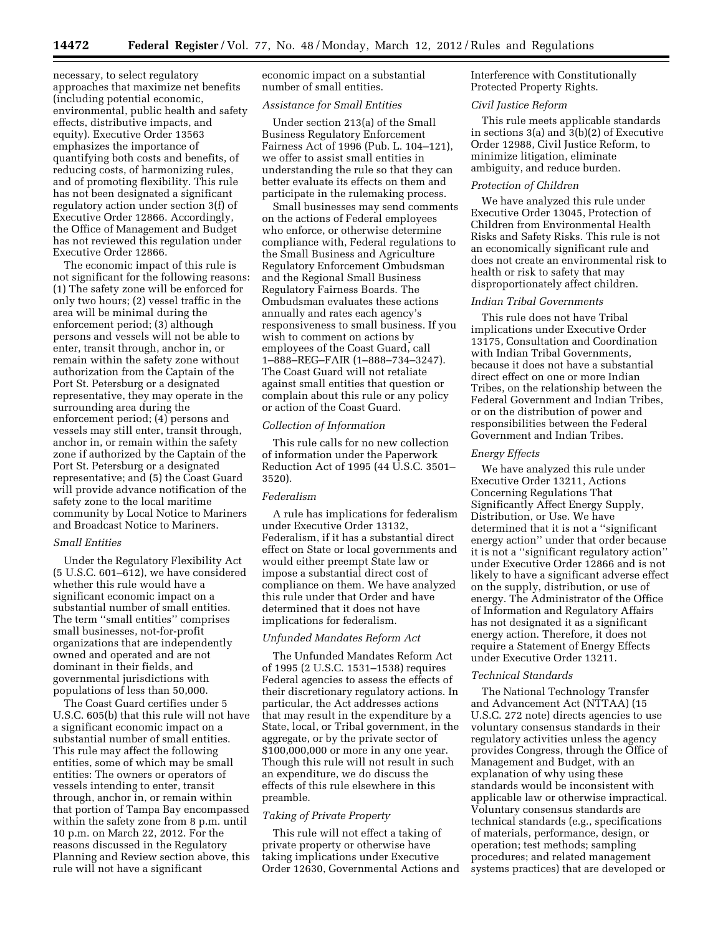necessary, to select regulatory approaches that maximize net benefits (including potential economic, environmental, public health and safety effects, distributive impacts, and equity). Executive Order 13563 emphasizes the importance of quantifying both costs and benefits, of reducing costs, of harmonizing rules, and of promoting flexibility. This rule has not been designated a significant regulatory action under section 3(f) of Executive Order 12866. Accordingly, the Office of Management and Budget has not reviewed this regulation under Executive Order 12866.

The economic impact of this rule is not significant for the following reasons: (1) The safety zone will be enforced for only two hours; (2) vessel traffic in the area will be minimal during the enforcement period; (3) although persons and vessels will not be able to enter, transit through, anchor in, or remain within the safety zone without authorization from the Captain of the Port St. Petersburg or a designated representative, they may operate in the surrounding area during the enforcement period; (4) persons and vessels may still enter, transit through, anchor in, or remain within the safety zone if authorized by the Captain of the Port St. Petersburg or a designated representative; and (5) the Coast Guard will provide advance notification of the safety zone to the local maritime community by Local Notice to Mariners and Broadcast Notice to Mariners.

#### *Small Entities*

Under the Regulatory Flexibility Act (5 U.S.C. 601–612), we have considered whether this rule would have a significant economic impact on a substantial number of small entities. The term ''small entities'' comprises small businesses, not-for-profit organizations that are independently owned and operated and are not dominant in their fields, and governmental jurisdictions with populations of less than 50,000.

The Coast Guard certifies under 5 U.S.C. 605(b) that this rule will not have a significant economic impact on a substantial number of small entities. This rule may affect the following entities, some of which may be small entities: The owners or operators of vessels intending to enter, transit through, anchor in, or remain within that portion of Tampa Bay encompassed within the safety zone from 8 p.m. until 10 p.m. on March 22, 2012. For the reasons discussed in the Regulatory Planning and Review section above, this rule will not have a significant

economic impact on a substantial number of small entities.

#### *Assistance for Small Entities*

Under section 213(a) of the Small Business Regulatory Enforcement Fairness Act of 1996 (Pub. L. 104–121), we offer to assist small entities in understanding the rule so that they can better evaluate its effects on them and participate in the rulemaking process.

Small businesses may send comments on the actions of Federal employees who enforce, or otherwise determine compliance with, Federal regulations to the Small Business and Agriculture Regulatory Enforcement Ombudsman and the Regional Small Business Regulatory Fairness Boards. The Ombudsman evaluates these actions annually and rates each agency's responsiveness to small business. If you wish to comment on actions by employees of the Coast Guard, call 1–888–REG–FAIR (1–888–734–3247). The Coast Guard will not retaliate against small entities that question or complain about this rule or any policy or action of the Coast Guard.

#### *Collection of Information*

This rule calls for no new collection of information under the Paperwork Reduction Act of 1995 (44 U.S.C. 3501– 3520).

## *Federalism*

A rule has implications for federalism under Executive Order 13132, Federalism, if it has a substantial direct effect on State or local governments and would either preempt State law or impose a substantial direct cost of compliance on them. We have analyzed this rule under that Order and have determined that it does not have implications for federalism.

## *Unfunded Mandates Reform Act*

The Unfunded Mandates Reform Act of 1995 (2 U.S.C. 1531–1538) requires Federal agencies to assess the effects of their discretionary regulatory actions. In particular, the Act addresses actions that may result in the expenditure by a State, local, or Tribal government, in the aggregate, or by the private sector of \$100,000,000 or more in any one year. Though this rule will not result in such an expenditure, we do discuss the effects of this rule elsewhere in this preamble.

## *Taking of Private Property*

This rule will not effect a taking of private property or otherwise have taking implications under Executive Order 12630, Governmental Actions and Interference with Constitutionally Protected Property Rights.

#### *Civil Justice Reform*

This rule meets applicable standards in sections 3(a) and 3(b)(2) of Executive Order 12988, Civil Justice Reform, to minimize litigation, eliminate ambiguity, and reduce burden.

## *Protection of Children*

We have analyzed this rule under Executive Order 13045, Protection of Children from Environmental Health Risks and Safety Risks. This rule is not an economically significant rule and does not create an environmental risk to health or risk to safety that may disproportionately affect children.

## *Indian Tribal Governments*

This rule does not have Tribal implications under Executive Order 13175, Consultation and Coordination with Indian Tribal Governments, because it does not have a substantial direct effect on one or more Indian Tribes, on the relationship between the Federal Government and Indian Tribes, or on the distribution of power and responsibilities between the Federal Government and Indian Tribes.

## *Energy Effects*

We have analyzed this rule under Executive Order 13211, Actions Concerning Regulations That Significantly Affect Energy Supply, Distribution, or Use. We have determined that it is not a ''significant energy action'' under that order because it is not a ''significant regulatory action'' under Executive Order 12866 and is not likely to have a significant adverse effect on the supply, distribution, or use of energy. The Administrator of the Office of Information and Regulatory Affairs has not designated it as a significant energy action. Therefore, it does not require a Statement of Energy Effects under Executive Order 13211.

#### *Technical Standards*

The National Technology Transfer and Advancement Act (NTTAA) (15 U.S.C. 272 note) directs agencies to use voluntary consensus standards in their regulatory activities unless the agency provides Congress, through the Office of Management and Budget, with an explanation of why using these standards would be inconsistent with applicable law or otherwise impractical. Voluntary consensus standards are technical standards (e.g., specifications of materials, performance, design, or operation; test methods; sampling procedures; and related management systems practices) that are developed or